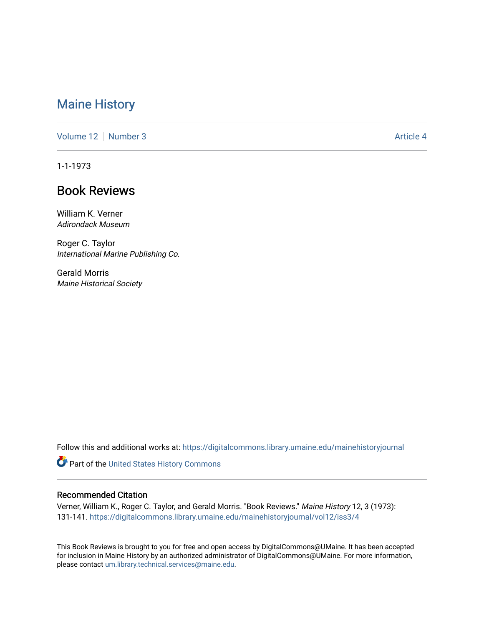## [Maine History](https://digitalcommons.library.umaine.edu/mainehistoryjournal)

[Volume 12](https://digitalcommons.library.umaine.edu/mainehistoryjournal/vol12) [Number 3](https://digitalcommons.library.umaine.edu/mainehistoryjournal/vol12/iss3) Article 4

1-1-1973

## Book Reviews

William K. Verner Adirondack Museum

Roger C. Taylor International Marine Publishing Co.

Gerald Morris Maine Historical Society

Follow this and additional works at: [https://digitalcommons.library.umaine.edu/mainehistoryjournal](https://digitalcommons.library.umaine.edu/mainehistoryjournal?utm_source=digitalcommons.library.umaine.edu%2Fmainehistoryjournal%2Fvol12%2Fiss3%2F4&utm_medium=PDF&utm_campaign=PDFCoverPages) 

Part of the [United States History Commons](http://network.bepress.com/hgg/discipline/495?utm_source=digitalcommons.library.umaine.edu%2Fmainehistoryjournal%2Fvol12%2Fiss3%2F4&utm_medium=PDF&utm_campaign=PDFCoverPages) 

## Recommended Citation

Verner, William K., Roger C. Taylor, and Gerald Morris. "Book Reviews." Maine History 12, 3 (1973): 131-141. [https://digitalcommons.library.umaine.edu/mainehistoryjournal/vol12/iss3/4](https://digitalcommons.library.umaine.edu/mainehistoryjournal/vol12/iss3/4?utm_source=digitalcommons.library.umaine.edu%2Fmainehistoryjournal%2Fvol12%2Fiss3%2F4&utm_medium=PDF&utm_campaign=PDFCoverPages) 

This Book Reviews is brought to you for free and open access by DigitalCommons@UMaine. It has been accepted for inclusion in Maine History by an authorized administrator of DigitalCommons@UMaine. For more information, please contact [um.library.technical.services@maine.edu.](mailto:um.library.technical.services@maine.edu)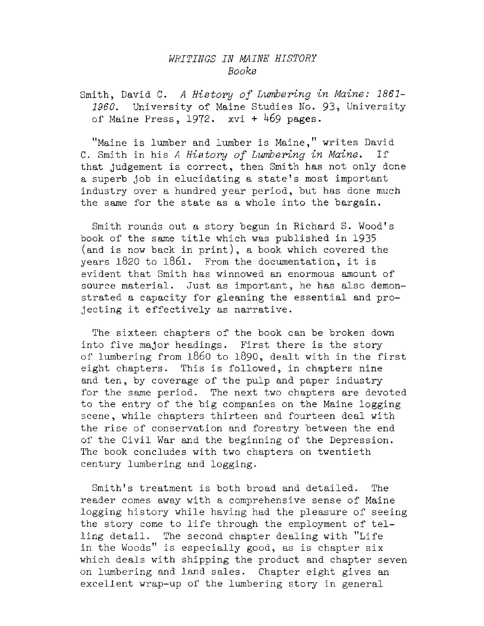## *WRITINGS IN MAINE HISTORY Books*

Smith, David C. *<sup>A</sup> History of Lumbering in Maine: 1861- 1960.* University of Maine Studies No. 93, University of Maine Press,  $1972$ . xvi + 469 pages.

''Maine is lumber and lumber is Maine," writes David C. Smith in his *<sup>A</sup> History of Lumbering in Maine.* If that Judgement is correct, then Smith has not only done <sup>a</sup> superb Job in elucidating <sup>a</sup> state'<sup>s</sup> most important industry over a hundred year period, but has done much the same for the state as a whole into the bargain.

Smith rounds out a story begun in Richard S. Wood's book of the same title which was published in <sup>1935</sup> (and is now back in print), a book which covered the years <sup>1820</sup> to 1861. From the documentation, it is evident that Smith has winnowed an enormous amount of source material. Just as important, he has also demonstrated a capacity for gleaning the essential and projecting it effectively as narrative.

The sixteen chapters of the book can be broken down into five major headings. First there is the story of lumbering from i860 to 1890, dealt with in the first eight chapters. This is followed, in chapters nine and ten, by coverage of the pulp and paper industry for the same period. The next two chapters are devoted to the entry of the big companies on the Maine logging scene, while chapters thirteen and fourteen deal with the rise of conservation and forestry between the end of the Civil War and the beginning of the Depression. The book concludes with two chapters on twentieth century lumbering and logging.

Smith's treatment is both broad and detailed. The reader comes away with a comprehensive sense of Maine logging history while having had the pleasure of seeing the story come to life through the employment of telling detail. The second chapter dealing with "Life in the Woods" is especially good, as is chapter six which deals with shipping the product and chapter seven on lumbering and land sales. Chapter eight gives an excellent wrap-up of the lumbering story in general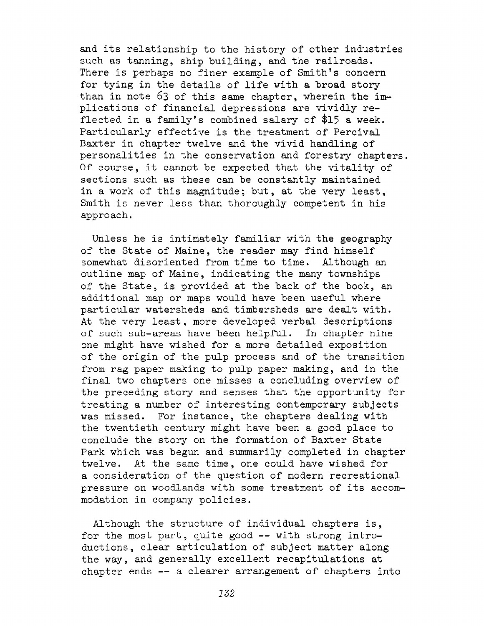and its relationship to the history of other industries such as tanning, ship building, and the railroads. There is perhaps no finer example of Smith's concern for tying in the details of life with a broad story than in note <sup>63</sup> of this same chapter, wherein the implications of financial depressions are vividly reflected in a family's combined salary of \$15 a week. Particularly effective is the treatment of Percival Baxter in chapter twelve and the vivid handling of personalities in the conservation and forestry chapters. Of course, it cannot be expected that the vitality of sections such as these can be constantly maintained in a work of this magnitude; but, at the very least, Smith is never less than thoroughly competent in his approach.

Unless he is intimately familiar with the geography of the State of Maine, the reader may find himself somewhat disoriented from time to time. Although an outline map of Maine, indicating the many townships of the State, is provided at the back of the book, an additional map or maps would have been useful where particular watersheds and timbersheds are dealt with. At the very least, more developed verbal descriptions of such sub-areas have been helpful. In chapter nine one might have wished for a more detailed exposition of the origin of the pulp process and of the transition from rag paper making to pulp paper making, and in the final two chapters one misses a concluding overview of the preceding story and senses that the opportunity for treating a number of interesting contemporary subjects was missed. For instance, the chapters dealing with the twentieth century might have been a good place to conclude the story on the formation of Baxter State Park which was begun and summarily completed in chapter twelve. At the same time, one could have wished for a consideration of the question of modern recreational pressure on woodlands with some treatment of its accommodation in company policies.

Although the structure of individual chapters is, for the most part, quite good -- with strong introductions, clear articulation of subject matter along the way, and generally excellent recapitulations at chapter ends — a clearer arrangement of chapters into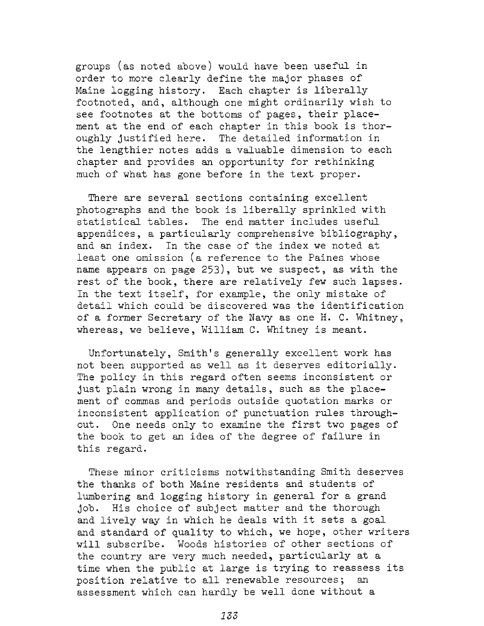groups (as noted above) would have been useful in order to more clearly define the major phases of Maine logging history. Each chapter is liberally footnoted, and, although one might ordinarily wish to see footnotes at the bottoms of pages, their placement at the end of each chapter in this book is thoroughly justified here. The detailed information in the lengthier notes adds a valuable dimension to each chapter and provides an opportunity for rethinking much of what has gone before in the text proper.

There are several sections containing excellent photographs and the book is liberally sprinkled with statistical tables. The end matter includes useful appendices, a particularly comprehensive bibliography, and an index. In the case of the index we noted at least one omission (a reference to the Paines whose name appears on page 253), but we suspect, as with the rest of the book, there are relatively few such lapses. In the text itself, for example, the only mistake of detail which could be discovered was the identification of a former Secretary of the Navy as one H. C. Whitney, whereas, we believe, William C. Whitney is meant.

Unfortunately, Smith's generally excellent work has not been supported as well as it deserves editorially. The policy in this regard often seems inconsistent or just plain wrong in many details, such as the placement of commas and periods outside quotation marks or inconsistent application of punctuation rules throughout. One needs only to examine the first two pages of the book to get an idea of the degree of failure in this regard.

These minor criticisms notwithstanding Smith deserves the thanks of both Maine residents and students of lumbering and logging history in general for a grand job. His choice of subject matter and the thorough and lively way in which he deals with it sets <sup>a</sup> goal and standard of quality to which, we hope, other writers will subscribe. Woods histories of other sections of the country are very much needed, particularly at a time when the public at large is trying to reassess its position relative to all renewable resources; an assessment which can hardly be well done without a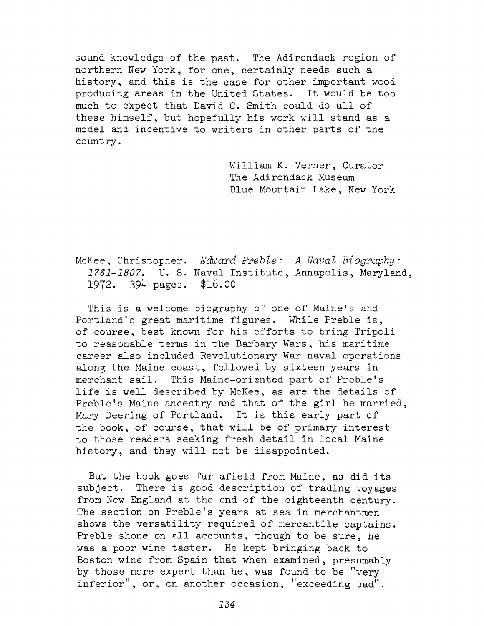sound knowledge of the past. The Adirondack region of northern New York, for one, certainly needs such a history, and this is the case for other important wood producing areas in the United States. It would be too much to expect that David C. Smith could do all of these himself, but hopefully his work will stand as a model and incentive to writers in other parts of the country.

> William K. Verner, Curator The Adirondack Museum Blue Mountain Lake, New York

McKee, Christopher. *Edward Preble: <sup>A</sup> Naval Biography: 1761-1807.* U. S. Naval Institute, Annapolis, Maryland, 1972. 394 pages. \$16.00

This is a welcome biography of one of Maine'<sup>s</sup> and Portland'<sup>s</sup> great maritime figures. While Preble is, of course, best known for his efforts to bring Tripoli to reasonable terms in the Barbary Wars, his maritime career also included Revolutionary War naval operations along the Maine coast, followed by sixteen years in merchant sail. This Maine-oriented part of Preble'<sup>s</sup> life is well described by McKee, as are the details of Preble'<sup>s</sup> Maine ancestry and that of the girl he married, Mary Deering of Portland. It is this early part of the book, of course, that will be of primary interest to those readers seeking fresh detail in local Maine history, and they will not be disappointed.

But the book goes far afield from Maine, as did its subject. There is good description of trading voyages from New England at the end of the eighteenth century. The section on Preble's years at sea in merchantmen shows the versatility required of mercantile captains. Preble shone on all accounts, though to be sure, he was a poor wine taster. He kept bringing back to Boston wine from Spain that when examined, presumably by those more expert than he, was found to be ''very inferior", or, on another occasion, ''exceeding bad".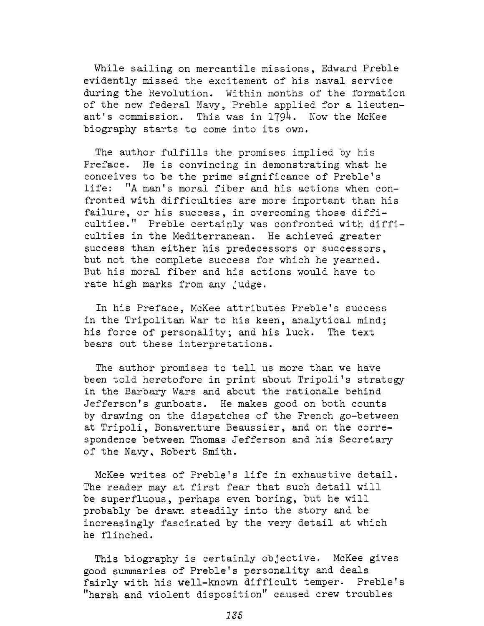While sailing on mercantile missions, Edward Preble evidently missed the excitement of his naval service during the Revolution. Within months of the formation of the new federal Navy, Preble applied for a lieutenant's commission. This was in 1794. Now the McKee biography starts to come into its own.

The author fulfills the promises implied by his Preface. He is convincing in demonstrating what he conceives to be the prime significance of Preble's life: "A man'<sup>s</sup> moral fiber and his actions when confronted with difficulties are more important than his failure, or his success, in overcoming those difficulties." Preble certainly was confronted with difficulties in the Mediterranean. He achieved greater success than either his predecessors or successors, but not the complete success for which he yearned. But his moral fiber and his actions would have to rate high marks from any Judge.

In his Preface, McKee attributes Preble's success in the Tripolitan War to his keen, analytical mind; his force of personality; and his luck. The text bears out these interpretations.

The author promises to tell us more than we have been told heretofore in print about Tripoli'<sup>s</sup> strategy in the Barbary Wars and about the rationale behind Jefferson's gunboats. He makes good on both counts by drawing on the dispatches of the French go-between at Tripoli, Bonaventure Beaussier, and on the correspondence between Thomas Jefferson and his Secretary of the Navy, Robert Smith.

McKee writes of Preble'<sup>s</sup> life in exhaustive detail. The reader may at first fear that such detail will be superfluous, perhaps even boring, but he will probably be drawn steadily into the story and be increasingly fascinated by the very detail at which he flinched.

This biography is certainly objective. McKee gives good summaries of Preble'<sup>s</sup> personality and deals fairly with his well-known difficult temper. Preble's "harsh and violent disposition" caused crew troubles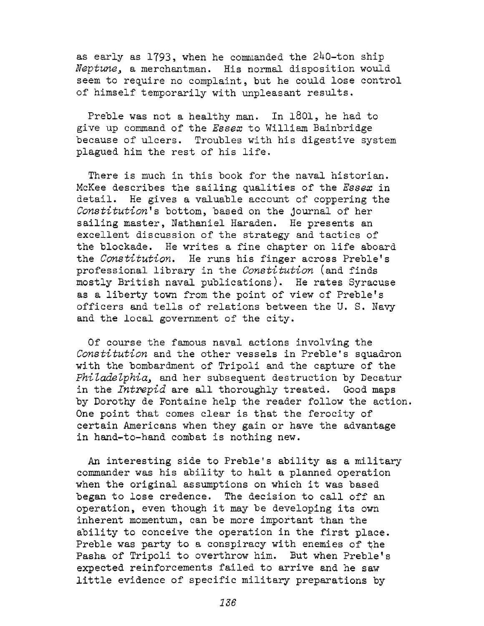as early as 1793, when he commanded the 240-ton ship *Neptune*, a merchantman. His normal disposition would seem to require no complaint, but he could lose control of himself temporarily with unpleasant results.

Preble was not a healthy man. In 1801, he had to give up command of the *Essex* to William Bainbridge because of ulcers. Troubles with his digestive system plagued him the rest of his life.

There is much in this book for the naval historian. McKee describes the sailing qualities of the *Essex* in detail. He gives a valuable account of coppering the *Constitution's* bottom, based on the Journal of her sailing master, Nathaniel Haraden. He presents an excellent discussion of the strategy and tactics of the blockade. He writes a fine chapter on life aboard the *Constitution,* He runs his finger across Preble's professional library in the *Constitution* (and finds mostly British naval publications). He rates Syracuse as a liberty town from the point of view of Preble'<sup>s</sup> officers and tells of relations between the U. S. Navy and the local government of the city.

Of course the famous naval actions involving the *Constitution* and the other vessels in Preble's squadron with the bombardment of Tripoli and the capture of the Philadelphia, and her subsequent destruction by Decatur in the *Intrepid* are all thoroughly treated. Good maps by Dorothy de Fontaine help the reader follow the action. One point that comes clear is that the ferocity of certain Americans when they gain or have the advantage in hand-to-hand combat is nothing new.

An interesting side to Preble'<sup>s</sup> ability as a military commander was his ability to halt a planned operation when the original assumptions on which it was based began to lose credence. The decision to call off an operation, even though it may be developing its own inherent momentum, can be more important than the ability to conceive the operation in the first place. Preble was party to a conspiracy with enemies of the Pasha of Tripoli to overthrow him. But when Preble's expected reinforcements failed to arrive and he saw little evidence of specific military preparations by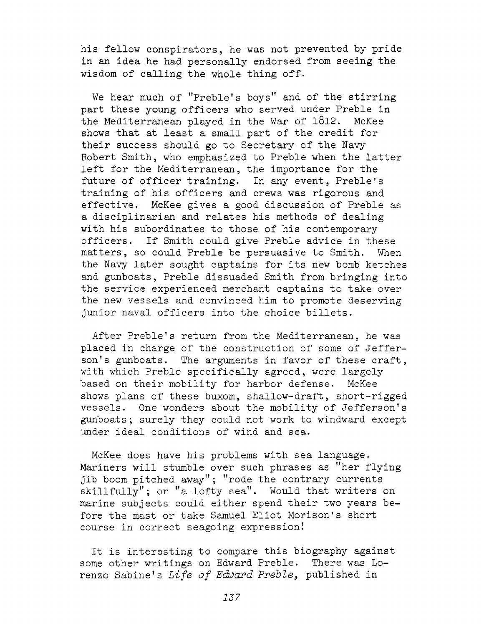his fellow conspirators, he was not prevented by pride in an idea he had personally endorsed from seeing the wisdom of calling the whole thing off.

We hear much of "Preble'<sup>s</sup> boys" and of the stirring part these young officers who served under Preble in the Mediterranean played in the War of 1812. McKee shows that at least a small part of the credit for their success should go to Secretary of the Navy Robert Smith, who emphasized to Preble when the latter left for the Mediterranean, the importance for the future of officer training. In any event, Preble'<sup>s</sup> training of his officers and crews was rigorous and effective. McKee gives a good discussion of Preble as a disciplinarian and relates his methods of dealing with his subordinates to those of his contemporary officers. If Smith could give Preble advice in these matters, so could Preble be persuasive to Smith. When the Navy later sought captains for its new bomb ketches and gunboats, Preble dissuaded Smith from bringing into the service experienced merchant captains to take over the new vessels and convinced him to promote deserving junior naval officers into the choice billets.

After Preble's return from the Mediterranean, he was placed in charge of the construction of some of Jefferson'<sup>s</sup> gunboats. The arguments in favor of these craft, with which Preble specifically agreed, were largely based on their mobility for harbor defense. McKee shows plans of these buxom, shallow-draft, short-rigged vessels. One wonders about the mobility of Jefferson'<sup>s</sup> gunboats; surely they could not work to windward except under ideal conditions of wind and sea.

McKee does have his problems with sea language. Mariners will stumble over such phrases as "her flying jib boom pitched away"; "rode the contrary currents skillfully"; or "a lofty sea". Would that writers on marine subjects could either spend their two years before the mast or take Samuel Eliot Morison's short course in correct seagoing expression!

It is interesting to compare this biography against some other writings on Edward Preble. There was Lorenzo Sabine'<sup>s</sup> *Life of Edward Preble^* published in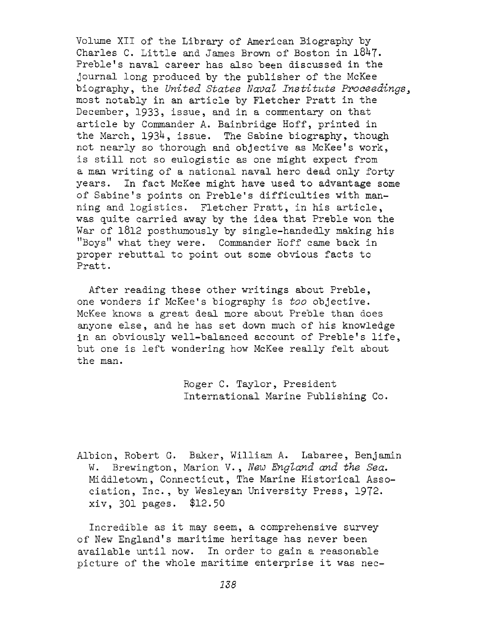Volume XII of the Library of American Biography by Charles C. Little and James Brown of Boston in 1847. Preble's naval career has also been discussed in the journal long produced by the publisher of the McKee biography, the *United States Naval Institute Proceedings<sup>3</sup>* most notably in an article by Fletcher Pratt in the December, 1933, issue, and in a commentary on that article by Commander A. Bainbridge Hoff, printed in the March, 1934, issue. The Sabine biography, though not nearly so thorough and objective as McKee's work, is still not so eulogistic as one might expect from a man writing of a national naval hero dead only forty years. In fact McKee might have used to advantage some of Sabine'<sup>s</sup> points on Preble'<sup>s</sup> difficulties with manning and logistics. Fletcher Pratt, in his article, was quite carried away by the idea that Preble won the War of 1812 posthumously by single-handedly making his ''Boys" what they were. Commander Hoff came back in proper rebuttal to point out some obvious facts to Pratt.

After reading these other writings about Preble, one wonders if McKee'<sup>s</sup> biography is *too* objective. McKee knows a great deal more about Preble than does anyone else, and he has set down much of his knowledge in an obviously well-balanced account of Preble'<sup>s</sup> life, but one is left wondering how McKee really felt about the man.

> Roger C. Taylor, President International Marine Publishing Co.

Albion, Robert G. Baker, William A. Labaree, Benjamin W. Brewington, Marion V., *New England and the Sea,* Middletown, Connecticut, The Marine Historical Association, Inc., by Wesleyan University Press, 1972. xiv, 301 pages. \$12.50

Incredible as it may seem, <sup>a</sup> comprehensive survey of New England's maritime heritage has never been available until now. In order to gain a reasonable picture of the whole maritime enterprise it was nec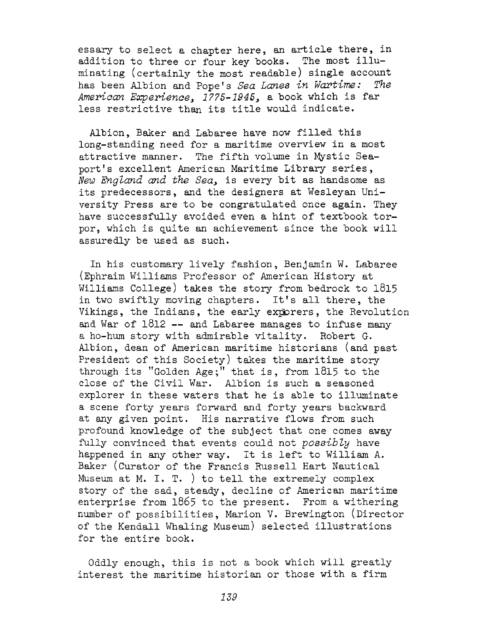essary to select a chapter here, an article there, in addition to three or four key books. The most illuminating (certainly the most readable) single account has been Albion and Pope's *Sea Lanes in Wartime: The American Experience<sup>3</sup> 1775-1945,* a book which is far less restrictive than its title would indicate.

Albion, Baker and Labaree have now filled this long-standing need for a maritime overview in a most attractive manner. The fifth volume in Mystic Seaport'<sup>s</sup> excellent American Maritime Library series, *New England and the Sea,* is every bit as handsome as its predecessors, and the designers at Wesleyan University Press are to be congratulated once again. They have successfully avoided even a hint of textbook torpor, which is quite an achievement since the book will assuredly be used as such.

In his customary lively fashion, Benjamin W. Labaree (Ephraim Williams Professor of American History at Williams College) takes the story from bedrock to 1815 in two swiftly moving chapters. It'<sup>s</sup> all there, the Vikings, the Indians, the early exporers, the Revolution and War of 1812 — and Labaree manages to infuse many <sup>a</sup> ho-hum story with admirable vitality. Robert G. Albion, dean of American maritime historians (and past President of this Society) takes the maritime story through its "Golden Age;" that is, from <sup>1815</sup> to the close of the Civil War. Albion is such a seasoned explorer in these waters that he is able to illuminate a scene forty years forward and forty years backward at any given point. His narrative flows from such profound knowledge of the subject that one comes away fully convinced that events could not *possibly* have happened in any other way. It is left to William A. Baker (Curator of the Francis Russell Hart Nautical Museum at M. I. T. ) to tell the extremely complex story of the sad, steady, decline of American maritime enterprise from 1865 to the present. From a withering number of possibilities, Marion V. Brewington (Director of the Kendall Whaling Museum) selected illustrations for the entire book.

Oddly enough, this is not a book which will greatly interest the maritime historian or those with a firm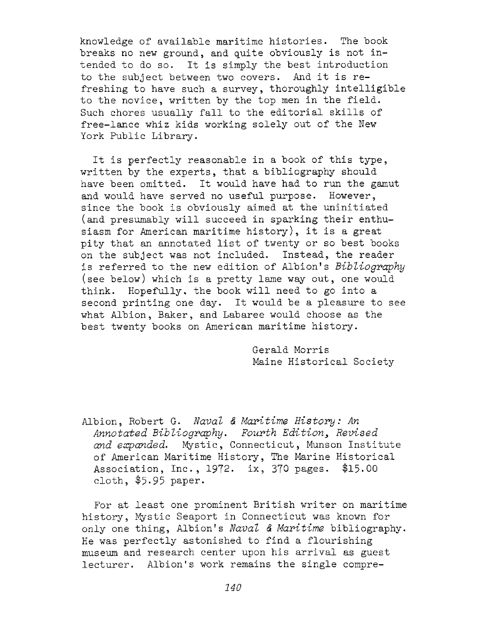knowledge of available maritime histories. The book breaks no new ground, and quite obviously is not intended to do so. It is simply the best introduction to the subject between two covers. And it is refreshing to have such a survey, thoroughly intelligible to the novice, written by the top men in the field. Such chores usually fall to the editorial skills of free-lance whiz kids working solely out of the New York Public Library.

It is perfectly reasonable in <sup>a</sup> book of this type, written by the experts, that a bibliography should have been omitted. It would have had to run the gamut and would have served no useful purpose. However, since the book is obviously aimed at the uninitiated (and presumably will succeed in sparking their enthusiasm for American maritime history), it is <sup>a</sup> great pity that an annotated list of twenty or so best books on the subject was not included. Instead, the reader is referred to the new edition of Albion'<sup>s</sup> *Bibliography* (see below) which is a pretty lame way out, one would think. Hopefully, the book will need to go into a second printing one day. It would be a pleasure to see what Albion, Baker, and Labaree would choose as the best twenty books on American maritime history.

> Gerald Morris Maine Historical Society

Albion, Robert G. *Naval & Maritime History: An* Annotated Bibliography. Fourth Edition, Revised *and expanded.* Mystic, Connecticut, Munson Institute of American Maritime History, The Marine Historical Association, Inc., 1972. ix, <sup>370</sup> pages. \$15.00 cloth, \$5-95 paper.

For at least one prominent British writer on maritime history, Mystic Seaport in Connecticut was known for only one thing, Albion's *Naval* <6 *Maritime* bibliography. He was perfectly astonished to find a flourishing museum and research center upon his arrival as guest lecturer. Albion's work remains the single compre